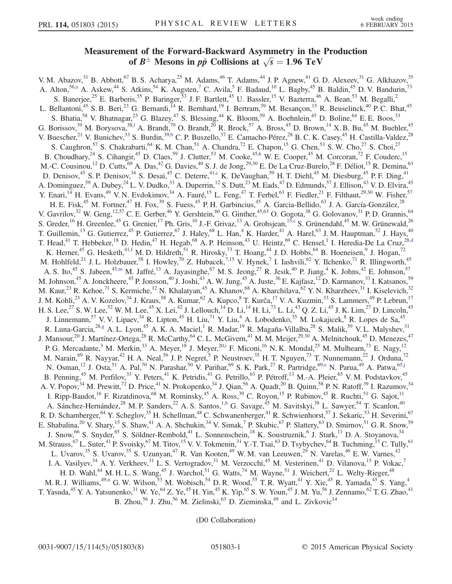## Measurement of the Forward-Backward Asymmetry in the Production of  $B^{\pm}$  Mesons in  $p\bar{p}$  Collisions at  $\sqrt{s} = 1.96$  TeV

<span id="page-0-11"></span><span id="page-0-10"></span><span id="page-0-9"></span><span id="page-0-6"></span><span id="page-0-5"></span><span id="page-0-3"></span><span id="page-0-2"></span><span id="page-0-1"></span><span id="page-0-0"></span>V. M. Abazov,  $31$  B. Abbott,  $67$  B. S. Acharya,  $25$  M. Adams,  $46$  T. Adams,  $44$  J. P. Agnew,  $41$  G. D. Alexeev,  $31$  G. Alkhazov,  $35$ A. Alton,<sup>56[,a](#page-6-0)</sup> A. Askew,<sup>44</sup> S. Atkins,<sup>54</sup> K. Augsten,<sup>7</sup> C. Avila,<sup>5</sup> F. Badaud,<sup>10</sup> L. Bagby,<sup>45</sup> B. Baldin,<sup>45</sup> D. V. Bandurin,<sup>73</sup> S. Banerjee,<sup>25</sup> E. Barberis,<sup>55</sup> P. Baringer,<sup>53</sup> J. F. Bartlett,<sup>45</sup> U. Bassler,<sup>15</sup> V. Bazterra,<sup>46</sup> A. Bean,<sup>53</sup> M. Begalli,<sup>2</sup> L. Bellantoni,<sup>45</sup> S. B. Beri,<sup>23</sup> G. Bernardi,<sup>14</sup> R. Bernhard,<sup>19</sup> I. Bertram,<sup>39</sup> M. Besançon,<sup>15</sup> R. Beuselinck,<sup>40</sup> P. C. Bhat,<sup>45</sup> S. Bhatia,<sup>58</sup> V. Bhatnagar,<sup>23</sup> G. Blazey,<sup>47</sup> S. Blessing,<sup>44</sup> K. Bloom,<sup>59</sup> A. Boehnlein,<sup>45</sup> D. Boline,<sup>64</sup> E. E. Boos,<sup>33</sup> G. Borissov,<sup>39</sup> M. Borysova,<sup>38,1</sup> A. Brandt,<sup>70</sup> O. Brandt,<sup>20</sup> R. Brock,<sup>57</sup> A. Bross,<sup>45</sup> D. Brown,<sup>14</sup> X. B. Bu,<sup>45</sup> M. Buehler,<sup>45</sup> V. Buescher,  $^{21}$  V. Bunichev,  $^{33}$  S. Burdin,  $^{39,b}$  $^{39,b}$  $^{39,b}$  C. P. Buszello,  $^{37}$  E. Camacho-Pérez,  $^{28}$  B. C. K. Casey,  $^{45}$  H. Castilla-Valdez,  $^{28}$ S. Caughron,<sup>57</sup> S. Chakrabarti,<sup>64</sup> K. M. Chan,<sup>51</sup> A. Chandra,<sup>72</sup> E. Chapon,<sup>15</sup> G. Chen,<sup>53</sup> S. W. Cho,<sup>27</sup> S. Choi,<sup>27</sup> B. Choudhary,<sup>24</sup> S. Cihangir,<sup>45</sup> D. Claes,<sup>59</sup> J. Clutter,<sup>53</sup> M. Cooke,<sup>4[5,k](#page-6-3)</sup> W. E. Cooper,<sup>45</sup> M. Corcoran,<sup>72</sup> F. Couderc,<sup>15</sup> M.-C. Cousinou,<sup>12</sup> D. Cutts,<sup>69</sup> A. Das,<sup>42</sup> G. Davies,<sup>40</sup> S. J. de Jong,<sup>29,30</sup> E. De La Cruz-Burelo,<sup>28</sup> F. Déliot,<sup>15</sup> R. Demina,<sup>63</sup> D. Denisov,<sup>45</sup> S. P. Denisov,<sup>34</sup> S. Desai,<sup>45</sup> C. Deterre,<sup>41[,c](#page-6-4)</sup> K. DeVaughan,<sup>59</sup> H. T. Diehl,<sup>45</sup> M. Diesburg,<sup>45</sup> P. F. Ding,<sup>41</sup> A. Dominguez,<sup>59</sup> A. Dubey,<sup>24</sup> L. V. Dudko,<sup>33</sup> A. Duperrin,<sup>12</sup> S. Dutt,<sup>23</sup> M. Eads,<sup>47</sup> D. Edmunds,<sup>57</sup> J. Ellison,<sup>43</sup> V. D. Elvira,<sup>45</sup> Y. Enari, <sup>14</sup> H. Evans, <sup>49</sup> V. N. Evdokimov, <sup>34</sup> A. Fauré, <sup>15</sup> L. Feng, <sup>47</sup> T. Ferbel, <sup>63</sup> F. Fiedler, <sup>21</sup> F. Filthaut, <sup>29,30</sup> W. Fisher, <sup>57</sup> H. E. Fisk,<sup>45</sup> M. Fortner,<sup>47</sup> H. Fox,<sup>39</sup> S. Fuess,<sup>45</sup> P. H. Garbincius,<sup>45</sup> A. Garcia-Bellido,<sup>63</sup> J. A. García-González,<sup>28</sup> V. Gavrilov,  $32$  W. Geng,  $12,57$  C. E. Gerber,  $46$  Y. Gershtein,  $60$  G. Ginther,  $45,63$  O. Gogota,  $38$  G. Golovanov,  $31$  P. D. Grannis,  $64$ S. Greder,  $^{16}$  H. Greenlee,  $^{45}$  G. Grenier,  $^{17}$  Ph. Gris,  $^{10}$  J.-F. Grivaz,  $^{13}$  A. Grohsjean,  $^{15,c}$  $^{15,c}$  $^{15,c}$  S. Grünendahl,  $^{45}$  M. W. Grünewald,  $^{26}$ T. Guillemin,<sup>13</sup> G. Gutierrez,<sup>45</sup> P. Gutierrez,<sup>67</sup> J. Haley,<sup>68</sup> L. Han,<sup>4</sup> K. Harder,<sup>41</sup> A. Harel,<sup>63</sup> J. M. Hauptman,<sup>52</sup> J. Hays,<sup>40</sup> T. Head,<sup>41</sup> T. Hebbeker,<sup>18</sup> D. Hedin,<sup>47</sup> H. Hegab,<sup>68</sup> A. P. Heinson,<sup>43</sup> U. Heintz,<sup>69</sup> C. Hensel,<sup>1</sup> I. Heredia-De La Cruz,<sup>28[,d](#page-6-5)</sup> K. Herner,<sup>45</sup> G. Hesketh,<sup>41[,f](#page-6-6)</sup> M. D. Hildreth,<sup>51</sup> R. Hirosky,<sup>73</sup> T. Hoang,<sup>44</sup> J. D. Hobbs,<sup>64</sup> B. Hoeneisen,<sup>9</sup> J. Hogan,<sup>72</sup> M. Hohlfeld,<sup>21</sup> J. L. Holzbauer,<sup>58</sup> I. Howley,<sup>70</sup> Z. Hubacek,<sup>7,15</sup> V. Hynek,<sup>7</sup> I. Iashvili,<sup>62</sup> Y. Ilchenko,<sup>71</sup> R. Illingworth,<sup>45</sup> A. S. Ito,<sup>45</sup> S. Jabeen,<sup>45[,m](#page-6-7)</sup> M. Jaffré,<sup>13</sup> A. Jayasinghe,<sup>67</sup> M. S. Jeong,<sup>27</sup> R. Jesik,<sup>40</sup> P. Jiang,<sup>4</sup> K. Johns,<sup>42</sup> E. Johnson,<sup>57</sup> M. Johnson,<sup>45</sup> A. Jonckheere,<sup>45</sup> P. Jonsson,<sup>40</sup> J. Joshi,<sup>43</sup> A. W. Jung,<sup>45</sup> A. Juste,<sup>36</sup> E. Kajfasz,<sup>12</sup> D. Karmanov,<sup>33</sup> I. Katsanos,<sup>59</sup> M. Kaur,<sup>23</sup> R. Kehoe,<sup>71</sup> S. Kermiche,<sup>12</sup> N. Khalatyan,<sup>45</sup> A. Khanov,<sup>68</sup> A. Kharchilava,<sup>62</sup> Y. N. Kharzheev,<sup>31</sup> I. Kiselevich,<sup>32</sup> J. M. Kohli,<sup>23</sup> A. V. Kozelov,<sup>34</sup> J. Kraus,<sup>58</sup> A. Kumar,<sup>62</sup> A. Kupco,<sup>8</sup> T. Kurča,<sup>17</sup> V. A. Kuzmin,<sup>33</sup> S. Lammers,<sup>49</sup> P. Lebrun,<sup>17</sup> H. S. Lee,<sup>27</sup> S. W. Lee,<sup>52</sup> W. M. Lee,<sup>45</sup> X. Lei,<sup>42</sup> J. Lellouch,<sup>14</sup> D. Li,<sup>14</sup> H. Li,<sup>73</sup> L. Li,<sup>43</sup> Q. Z. Li,<sup>45</sup> J. K. Lim,<sup>27</sup> D. Lincoln,<sup>45</sup> J. Linnemann,<sup>57</sup> V. V. Lipaev,<sup>34</sup> R. Lipton,<sup>45</sup> H. Liu,<sup>71</sup> Y. Liu,<sup>4</sup> A. Lobodenko,<sup>35</sup> M. Lokajicek,<sup>8</sup> R. Lopes de Sa,<sup>45</sup> R. Luna-Garcia,<sup>2[8,g](#page-6-8)</sup> A. L. Lyon,<sup>45</sup> A. K. A. Maciel,<sup>1</sup> R. Madar,<sup>19</sup> R. Magaña-Villalba,<sup>28</sup> S. Malik,<sup>59</sup> V. L. Malyshev,<sup>31</sup> J. Mansour, $^{20}$  J. Martínez-Ortega, $^{28}$  R. McCarthy, $^{64}$  C. L. McGivern, $^{41}$  M. M. Meijer, $^{29,30}$  A. Melnitchouk, $^{45}$  D. Menezes, $^{47}$ P. G. Mercadante,<sup>3</sup> M. Merkin,<sup>33</sup> A. Meyer,<sup>18</sup> J. Meyer,<sup>2[0,i](#page-6-9)</sup> F. Miconi,<sup>16</sup> N. K. Mondal,<sup>25</sup> M. Mulhearn,<sup>73</sup> E. Nagy,<sup>12</sup> M. Narain,<sup>69</sup> R. Nayyar,<sup>42</sup> H. A. Neal,<sup>56</sup> J. P. Negret,<sup>5</sup> P. Neustroev,<sup>35</sup> H. T. Nguyen,<sup>73</sup> T. Nunnemann,<sup>22</sup> J. Orduna,<sup>72</sup> N. Osman, $^{12}$  J. Osta, $^{51}$  A. Pal, $^{70}$  N. Parashar, $^{50}$  V. Parihar, $^{69}$  S. K. Park, $^{27}$  R. Partridge, $^{69,e}$  $^{69,e}$  $^{69,e}$  N. Parua, $^{49}$  A. Patwa, $^{65,j}$  $^{65,j}$  $^{65,j}$ B. Penning,<sup>45</sup> M. Perfilov,<sup>33</sup> Y. Peters,<sup>41</sup> K. Petridis,<sup>41</sup> G. Petrillo,<sup>63</sup> P. Pétroff,<sup>13</sup> M.-A. Pleier,<sup>65</sup> V.M. Podstavkov,<sup>45</sup> A. V. Popov,<sup>34</sup> M. Prewitt,<sup>72</sup> D. Price,<sup>41</sup> N. Prokopenko,<sup>34</sup> J. Qian,<sup>56</sup> A. Quadt,<sup>20</sup> B. Quinn,<sup>58</sup> P. N. Ratoff,<sup>39</sup> I. Razumov,<sup>34</sup> I. Ripp-Baudot,<sup>16</sup> F. Rizatdinova,<sup>68</sup> M. Rominsky,<sup>45</sup> A. Ross,<sup>39</sup> C. Royon,<sup>15</sup> P. Rubinov,<sup>45</sup> R. Ruchti,<sup>51</sup> G. Sajot,<sup>11</sup> A. Sánchez-Hernández,<sup>28</sup> M. P. Sanders,<sup>22</sup> A. S. Santos,<sup>[1,h](#page-6-12)</sup> G. Savage,<sup>45</sup> M. Savitskyi,<sup>38</sup> L. Sawyer,<sup>54</sup> T. Scanlon,<sup>40</sup> R. D. Schamberger, <sup>64</sup> Y. Scheglov, <sup>35</sup> H. Schellman, <sup>48</sup> C. Schwanenberger, <sup>41</sup> R. Schwienhorst, <sup>57</sup> J. Sekaric, <sup>53</sup> H. Severini, <sup>67</sup> E. Shabalina,<sup>20</sup> V. Shary,<sup>15</sup> S. Shaw,<sup>41</sup> A. A. Shchukin,<sup>34</sup> V. Simak,<sup>7</sup> P. Skubic,<sup>67</sup> P. Slattery,<sup>63</sup> D. Smirnov,<sup>51</sup> G. R. Snow,<sup>59</sup> J. Snow,<sup>66</sup> S. Snyder,<sup>65</sup> S. Söldner-Rembold,<sup>41</sup> L. Sonnenschein,<sup>18</sup> K. Soustruznik,<sup>6</sup> J. Stark,<sup>11</sup> D. A. Stoyanova,<sup>34</sup> M. Strauss,<sup>67</sup> L. Suter,<sup>41</sup> P. Svoisky,<sup>67</sup> M. Titov,<sup>15</sup> V. V. Tokmenin,<sup>31</sup> Y.-T. Tsai,<sup>63</sup> D. Tsybychev,<sup>64</sup> B. Tuchming,<sup>15</sup> C. Tully,<sup>61</sup> L. Uvarov,<sup>35</sup> S. Uvarov,<sup>35</sup> S. Uzunyan,<sup>47</sup> R. Van Kooten,<sup>49</sup> W. M. van Leeuwen,<sup>29</sup> N. Varelas,<sup>46</sup> E. W. Varnes,<sup>42</sup> I. A. Vasilyev,<sup>34</sup> A. Y. Verkheev,<sup>31</sup> L. S. Vertogradov,<sup>31</sup> M. Verzocchi,<sup>45</sup> M. Vesterinen,<sup>41</sup> D. Vilanova,<sup>15</sup> P. Vokac,<sup>7</sup> H. D. Wahl,<sup>44</sup> M. H. L. S. Wang,<sup>45</sup> J. Warchol,<sup>51</sup> G. Watts,<sup>74</sup> M. Wayne,<sup>51</sup> J. Weichert,<sup>21</sup> L. Welty-Rieger,<sup>48</sup> M. R. J. Williams,<sup>4[9,n](#page-6-13)</sup> G. W. Wilson,<sup>53</sup> M. Wobisch,<sup>54</sup> D. R. Wood,<sup>55</sup> T. R. Wyatt,<sup>41</sup> Y. Xie,<sup>45</sup> R. Yamada,<sup>45</sup> S. Yang,<sup>4</sup> T. Yasuda,<sup>45</sup> Y. A. Yatsunenko,<sup>31</sup> W. Ye,<sup>64</sup> Z. Ye,<sup>45</sup> H. Yin,<sup>45</sup> K. Yip,<sup>65</sup> S. W. Youn,<sup>45</sup> J. M. Yu,<sup>56</sup> J. Zennamo,<sup>62</sup> T. G. Zhao,<sup>41</sup> B. Zhou,<sup>56</sup> J. Zhu,<sup>56</sup> M. Zielinski,<sup>63</sup> D. Zieminska,<sup>49</sup> and L. Zivkovic<sup>14</sup>

<span id="page-0-12"></span><span id="page-0-8"></span><span id="page-0-7"></span><span id="page-0-4"></span>(D0 Collaboration)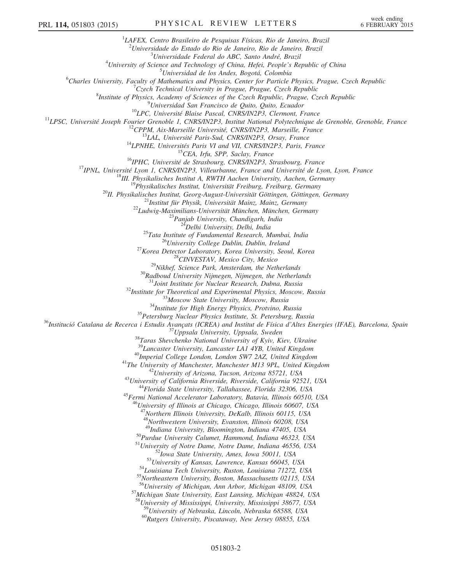<sup>1</sup>LAFEX, Centro Brasileiro de Pesquisas Físicas, Rio de Janeiro, Brazil <sup>2</sup>Universidade do Estado do Rio de Janeiro, Rio de Janeiro, Brazil<br><sup>3</sup>Universidade Esdaral do APC, Santo André, Prazil <sup>3</sup>Universidade Federal do ABC, Santo André, Brazil<sup>4</sup> University of Science and Technology of China, Hefei, People's Republic of China<br> $5L<sub>binar</sub>$  is a log Andes Reseté, Colombia  $^{5}$ Universidad de los Andes, Bogotá, Colombia  $^{6}$ Charles University. Equally of Mathematics and Physics. Center for Barticle Charles University, Faculty of Mathematics and Physics, Center for Particle Physics, Prague, Czech Republic <sup>7</sup>  $C$ zech Technical University in Prague, Prague, Czech Republic <sup>8</sup>Institute of Physics, Academy of Sciences of the Czech Republic, Prague, Czech Republic <sup>9</sup>Universidad San Francisco de Quito, Quito, Ecuador <sup>2</sup>Universited San Francisco de Quito, Quio, Ecuador<br>
<sup>2</sup>Université Blaise Pascal, CNRS/IN2P3, Clermont, France<br>
<sup>13</sup>LPSC, Université Joseph Fourier Grenoble 1, CNRS/IN2P3, Institut National Polytechnique de Grenoble, Gre <sup>30</sup>Radboud University Nijmegen, Nijmegen, the Netherlands<br><sup>31</sup>Joint Institute for Nuclear Research, Dubna, Russia<br><sup>31</sup>Institute for Theoretical and Experimental Physics, Moscow, Russia<br><sup>32</sup>Institute for Theoretical and E  $\begin{array}{c} \text{ }^{40} \textit{Imperial College London, London SW7 2AZ, United Kingdom}\\ \text{ }^{41} \textit{The University of Manchester, Manchester M13 9PL, United Kingdom}\\ \text{ }^{42} \textit{University of Arizona, Tucson, Arizona 85721, USA}\\ \text{ }^{43} \textit{University of California Riverside, Riverside, California 92521, USA}\\ \text{ }^{44} \textit{Florida State University, Tallahassee, Florida 32306, USA}\\ \text{ }^{45} \textit{Fermi National Accelerator Laboratory, Batavia, Illinois 60510, USA} \end{array}$ <sup>16</sup>University of Illinois at Chicago, Chicago, Illinois 60607, USA <sup>47</sup>Northern Illinois University, DeKalb, Illinois 60115, USA  $^{48}$ Northwestern University, Evanston, Illinois 60208, USA  $^{49}$ Indiana University, Bloomington, Indiana 47405, USA <sup>50</sup>Purdue University Calumet, Hammond, Indiana 46323, USA<br>
<sup>51</sup>University of Notre Dame, Notre Dame, Indiana 46556, USA<br>
<sup>52</sup>Iowa State University, Ames, Iowa 50011, USA<br>
<sup>53</sup>University of Kansas, Lawrence, Kansas 66045, 57 Michigan State University, East Lansing, Michigan 48824, USA  $^{58}$ University of Mississippi, University, Mississippi 38677, USA<br> $^{59}$ University of Nebraska, Lincoln, Nebraska 68588, USA  $^{60}$ Rutgers University, Piscataway, New Jersey 08855, USA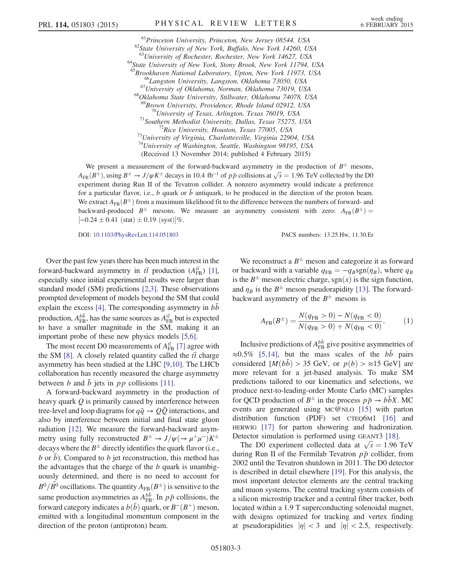<sup>61</sup>Princeton University, Princeton, New Jersey 08544, USA<br><sup>62</sup>State University of New York, Buffalo, New York 14260, USA<br><sup>63</sup>University of Rochester, Rochester, New York 14627, USA  $^{64}$ State University of New York, Stony Brook, New York 11794, USA  $^{65}$ Brookhaven National Laboratory, Upton, New York 11973, USA <sup>66</sup>Langston University, Langston, Oklahoma 73050, USA<br><sup>67</sup>University of Oklahoma, Norman, Oklahoma 73019, USA<br><sup>68</sup>Oklahoma State University, Stillwater, Oklahoma 74078, USA <sup>69</sup>Brown University, Providence, Rhode Island 02912, USA<br><sup>70</sup>University of Texas, Arlington, Texas 76019, USA<br><sup>71</sup>Southern Methodist University, Dallas, Texas 75275, USA<br><sup>72</sup>Rice University, Houston, Texas 77005, USA<br><sup>73</sup>  $74$ University of Washington, Seattle, Washington 98195, USA (Received 13 November 2014; published 4 February 2015)

We present a measurement of the forward-backward asymmetry in the production of  $B^{\pm}$  mesons,  $A_{FB}(B^{\pm})$ , using  $B^{\pm} \to J/\psi K^{\pm}$  decays in 10.4 fb<sup>-1</sup> of  $p\bar{p}$  collisions at  $\sqrt{s} = 1.96$  TeV collected by the D0 experiment during Run II of the Tevatron collider. A nonzero asymmetry would indicate a preference for a particular flavor, i.e., b quark or  $\bar{b}$  antiquark, to be produced in the direction of the proton beam. We extract  $A_{FR}(B^{\pm})$  from a maximum likelihood fit to the difference between the numbers of forward- and backward-produced  $B^{\pm}$  mesons. We measure an asymmetry consistent with zero:  $A_{FB}(B^{\pm}) =$  $[-0.24 \pm 0.41 \text{ (stat)} \pm 0.19 \text{ (syst)}]\%$ .

DOI: [10.1103/PhysRevLett.114.051803](http://dx.doi.org/10.1103/PhysRevLett.114.051803) PACS numbers: 13.25.Hw, 11.30.Er

Over the past few years there has been much interest in the forward-backward asymmetry in  $t\bar{t}$  production ( $A_{FB}^{t\bar{t}}$ ) [\[1\]](#page-6-14), especially since initial experimental results were larger than standard model (SM) predictions [\[2,3\].](#page-6-15) These observations prompted development of models beyond the SM that could explain the excess  $[4]$ . The corresponding asymmetry in  $bb$ production,  $A_{\text{FB}}^{b\bar{b}}$ , has the same sources as  $A_{\text{FB}}^{t\bar{t}}$  but is expected to have a smaller magnitude in the SM, making it an important probe of these new physics models [\[5,6\]](#page-6-17).

The most recent D0 measurements of  $A_{\text{FB}}^{t\bar{t}}$  [\[7\]](#page-6-18) agree with the SM [\[8\]](#page-6-19). A closely related quantity called the  $t\bar{t}$  charge asymmetry has been studied at the LHC [\[9,10\].](#page-6-20) The LHCb collaboration has recently measured the charge asymmetry between b and  $\bar{b}$  jets in pp collisions [\[11\].](#page-6-21)

A forward-backward asymmetry in the production of heavy quark Q is primarily caused by interference between tree-level and loop diagrams for  $q\bar{q} \rightarrow Q\bar{Q}$  interactions, and also by interference between initial and final state gluon radiation [\[12\]](#page-6-22). We measure the forward-backward asymmetry using fully reconstructed  $B^{\pm} \to J/\psi(\to \mu^+\mu^-)K^{\pm}$ decays where the  $B^{\pm}$  directly identifies the quark flavor (i.e., b or  $\bar{b}$ ). Compared to b jet reconstruction, this method has the advantages that the charge of the  $b$  quark is unambiguously determined, and there is no need to account for  $B^0/\bar{B^0}$  oscillations. The quantity  $A_{\text{FB}}(B^\pm)$  is sensitive to the same production asymmetries as  $A_{FB}^{b\bar{b}}$ . In  $p\bar{p}$  collisions, the forward category indicates a  $b(\bar{b})$  quark, or  $B^{-}(B^{+})$  meson, emitted with a longitudinal momentum component in the direction of the proton (antiproton) beam.

<span id="page-2-0"></span>We reconstruct a  $B^{\pm}$  meson and categorize it as forward or backward with a variable  $q_{FB} = -q_B sgn(\eta_B)$ , where  $q_B$ is the  $B^{\pm}$  meson electric charge, sgn(x) is the sign function, and  $\eta_B$  is the  $B^{\pm}$  meson pseudorapidity [\[13\]](#page-6-23). The forwardbackward asymmetry of the  $B^{\pm}$  mesons is

$$
A_{\rm FB}(B^{\pm}) = \frac{N(q_{\rm FB} > 0) - N(q_{\rm FB} < 0)}{N(q_{\rm FB} > 0) + N(q_{\rm FB} < 0)}.
$$
 (1)

Inclusive predictions of  $A_{\text{FB}}^{b\bar{b}}$  give positive asymmetries of  $\approx 0.5\%$  [\[5,14\]](#page-6-17), but the mass scales of the  $b\bar{b}$  pairs considered  $[M(b\bar{b}) > 35$  GeV, or  $p(b) > \approx 15$  GeV] are more relevant for a jet-based analysis. To make SM predictions tailored to our kinematics and selections, we produce next-to-leading-order Monte Carlo (MC) samples for OCD production of  $B^{\pm}$  in the process  $p\bar{p} \rightarrow b\bar{b}X$ . MC events are generated using MC@NLO [\[15\]](#page-6-24) with parton distribution function (PDF) set CTEQ6M1 [\[16\]](#page-6-25) and HERWIG [\[17\]](#page-6-26) for parton showering and hadronization. Detector simulation is performed using GEANT3 [\[18\].](#page-6-27)

The D0 experiment collected data at  $\sqrt{s} = 1.96$  TeV during Run II of the Fermilab Tevatron  $p\bar{p}$  collider, from 2002 until the Tevatron shutdown in 2011. The D0 detector is described in detail elsewhere [\[19\].](#page-6-28) For this analysis, the most important detector elements are the central tracking and muon systems. The central tracking system consists of a silicon microstrip tracker and a central fiber tracker, both located within a 1.9 T superconducting solenoidal magnet, with designs optimized for tracking and vertex finding at pseudorapidities  $|\eta| < 3$  and  $|\eta| < 2.5$ , respectively.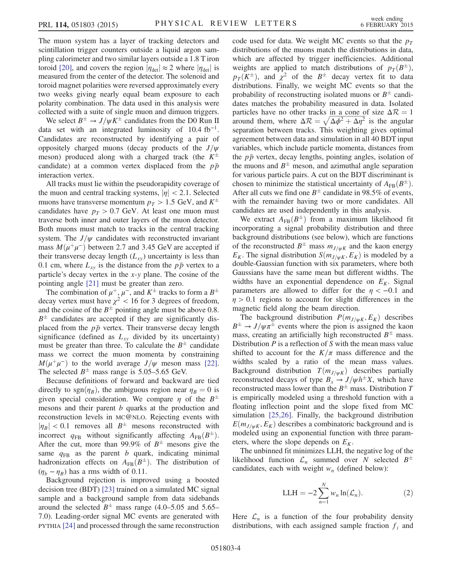The muon system has a layer of tracking detectors and scintillation trigger counters outside a liquid argon sampling calorimeter and two similar layers outside a 1.8 T iron toroid [\[20\]](#page-6-29), and covers the region  $|\eta_{\text{det}}| \approx 2$  where  $|\eta_{\text{det}}|$  is measured from the center of the detector. The solenoid and toroid magnet polarities were reversed approximately every two weeks giving nearly equal beam exposure to each polarity combination. The data used in this analysis were collected with a suite of single muon and dimuon triggers.

We select  $B^{\pm} \rightarrow J/\psi K^{\pm}$  candidates from the D0 Run II data set with an integrated luminosity of 10.4 fb<sup>-1</sup>. Candidates are reconstructed by identifying a pair of oppositely charged muons (decay products of the  $J/\psi$ meson) produced along with a charged track (the  $K^{\pm}$ candidate) at a common vertex displaced from the  $p\bar{p}$ interaction vertex.

All tracks must lie within the pseudorapidity coverage of the muon and central tracking systems,  $|\eta| < 2.1$ . Selected muons have transverse momentum  $p_T > 1.5$  GeV, and  $K^{\pm}$ candidates have  $p_T > 0.7$  GeV. At least one muon must traverse both inner and outer layers of the muon detector. Both muons must match to tracks in the central tracking system. The  $J/\psi$  candidates with reconstructed invariant mass  $M(\mu^+\mu^-)$  between 2.7 and 3.45 GeV are accepted if their transverse decay length  $(L_{xy})$  uncertainty is less than 0.1 cm, where  $L_{xy}$  is the distance from the  $p\bar{p}$  vertex to a particle's decay vertex in the x-y plane. The cosine of the pointing angle [\[21\]](#page-7-0) must be greater than zero.

The combination of  $\mu^+$ ,  $\mu^-$ , and  $K^{\pm}$  tracks to form a  $B^{\pm}$ decay vertex must have  $\chi^2$  < 16 for 3 degrees of freedom, and the cosine of the  $B^{\pm}$  pointing angle must be above 0.8.  $B^{\pm}$  candidates are accepted if they are significantly displaced from the  $p\bar{p}$  vertex. Their transverse decay length significance (defined as  $L_{xy}$  divided by its uncertainty) must be greater than three. To calculate the  $B^{\pm}$  candidate mass we correct the muon momenta by constraining  $M(\mu^+\mu^-)$  to the world average  $J/\psi$  meson mass [\[22\]](#page-7-1). The selected  $B^{\pm}$  mass range is 5.05–5.65 GeV.

Because definitions of forward and backward are tied directly to sgn $(\eta_B)$ , the ambiguous region near  $\eta_B = 0$  is given special consideration. We compare  $\eta$  of the  $B^{\pm}$ mesons and their parent *b* quarks at the production and reconstruction levels in MC@NLO. Rejecting events with  $|\eta_B|$  < 0.1 removes all  $B^{\pm}$  mesons reconstructed with incorrect  $q_{FB}$  without significantly affecting  $A_{FB}(B^{\pm})$ . After the cut, more than 99.9% of  $B^{\pm}$  mesons give the same  $q_{FB}$  as the parent b quark, indicating minimal hadronization effects on  $A_{FB}(B^{\pm})$ . The distribution of  $(\eta_b - \eta_B)$  has a rms width of 0.11.

Background rejection is improved using a boosted decision tree (BDT) [\[23\]](#page-7-2) trained on a simulated MC signal sample and a background sample from data sidebands around the selected  $B^{\pm}$  mass range (4.0–5.05 and 5.65– 7.0). Leading-order signal MC events are generated with PYTHIA [\[24\]](#page-7-3) and processed through the same reconstruction code used for data. We weight MC events so that the  $p_T$ distributions of the muons match the distributions in data, which are affected by trigger inefficiencies. Additional weights are applied to match distributions of  $p_T(B^{\pm})$ ,  $p_T(K^{\pm})$ , and  $\chi^2$  of the  $B^{\pm}$  decay vertex fit to data distributions. Finally, we weight MC events so that the probability of reconstructing isolated muons or  $B^{\pm}$  candidates matches the probability measured in data. Isolated particles have no other tracks in a cone of size  $\Delta \mathcal{R} = 1$ around them, where  $\Delta \mathcal{R} = \sqrt{\Delta \phi^2 + \Delta \eta^2}$  is the angular separation between tracks. This weighting gives optimal agreement between data and simulation in all 40 BDT input variables, which include particle momenta, distances from the  $p\bar{p}$  vertex, decay lengths, pointing angles, isolation of the muons and  $B^{\pm}$  meson, and azimuthal angle separation for various particle pairs. A cut on the BDT discriminant is chosen to minimize the statistical uncertainty of  $A_{FB}(B^{\pm})$ . After all cuts we find one  $B^{\pm}$  candidate in 98.5% of events, with the remainder having two or more candidates. All candidates are used independently in this analysis.

We extract  $A_{FB}(B^{\pm})$  from a maximum likelihood fit incorporating a signal probability distribution and three background distributions (see below), which are functions of the reconstructed  $B^{\pm}$  mass  $m_{J/\psi K}$  and the kaon energy  $E_K$ . The signal distribution  $S(m_{J/\psi K}, E_K)$  is modeled by a double-Gaussian function with six parameters, where both Gaussians have the same mean but different widths. The widths have an exponential dependence on  $E_K$ . Signal parameters are allowed to differ for the  $\eta < -0.1$  and  $\eta > 0.1$  regions to account for slight differences in the magnetic field along the beam direction.

The background distribution  $P(m_{J/\psi K}, E_K)$  describes  $B^{\pm} \rightarrow J/\psi \pi^{\pm}$  events where the pion is assigned the kaon mass, creating an artificially high reconstructed  $B^{\pm}$  mass. Distribution  $P$  is a reflection of  $S$  with the mean mass value shifted to account for the  $K/\pi$  mass difference and the widths scaled by a ratio of the mean mass values. Background distribution  $T(m_{J/\psi K})$  describes partially reconstructed decays of type  $B_x \rightarrow J/\psi h^{\pm}X$ , which have reconstructed mass lower than the  $B^{\pm}$  mass. Distribution T is empirically modeled using a threshold function with a floating inflection point and the slope fixed from MC simulation [\[25,26\].](#page-7-4) Finally, the background distribution  $E(m_{J/\psi K}, E_K)$  describes a combinatoric background and is modeled using an exponential function with three parameters, where the slope depends on  $E_K$ .

The unbinned fit minimizes LLH, the negative log of the likelihood function  $\mathcal{L}_n$  summed over N selected  $B^{\pm}$ candidates, each with weight  $w_n$  (defined below):

$$
LLH = -2\sum_{n=1}^{N} w_n \ln(\mathcal{L}_n).
$$
 (2)

Here  $\mathcal{L}_n$  is a function of the four probability density distributions, with each assigned sample fraction  $f_i$  and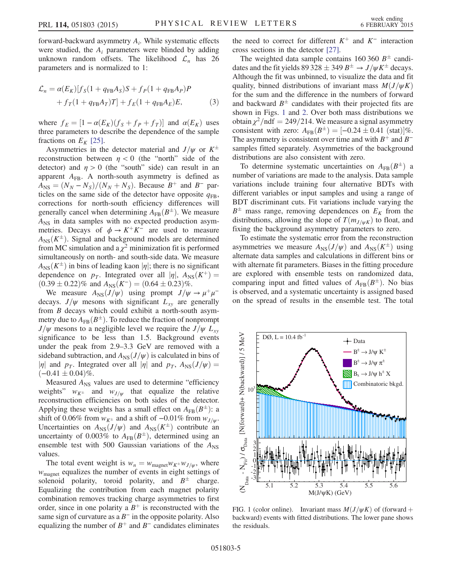forward-backward asymmetry  $A_i$ . While systematic effects were studied, the  $A_i$  parameters were blinded by adding unknown random offsets. The likelihood  $\mathcal{L}_n$  has 26 parameters and is normalized to 1:

$$
\mathcal{L}_n = \alpha(E_K)[f_S(1 + q_{FB}A_S)S + f_P(1 + q_{FB}A_P)P + f_T(1 + q_{FB}A_T)T] + f_E(1 + q_{FB}A_E)E,
$$
(3)

where  $f_E = [1 - \alpha(E_K)(f_S + f_P + f_T)]$  and  $\alpha(E_K)$  uses three parameters to describe the dependence of the sample fractions on  $E_K$  [\[25\].](#page-7-4)

Asymmetries in the detector material and  $J/\psi$  or  $K^{\pm}$ reconstruction between  $\eta$  < 0 (the "north" side of the detector) and  $\eta > 0$  (the "south" side) can result in an apparent  $A_{FB}$ . A north-south asymmetry is defined as  $A_{\text{NS}} = (N_N - N_S)/(N_N + N_S)$ . Because  $B^+$  and  $B^-$  particles on the same side of the detector have opposite  $q_{FB}$ , corrections for north-south efficiency differences will generally cancel when determining  $A_{FB}(B^{\pm})$ . We measure  $A_{\text{NS}}$  in data samples with no expected production asymmetries. Decays of  $\phi \rightarrow K^+K^-$  are used to measure  $A_{\text{NS}}(K^{\pm})$ . Signal and background models are determined from MC simulation and a  $\chi^2$  minimization fit is performed simultaneously on north- and south-side data. We measure  $A_{NS}(K^{\pm})$  in bins of leading kaon  $|\eta|$ ; there is no significant dependence on  $p_T$ . Integrated over all  $|\eta|$ ,  $A_{NS}(K^+)$  =  $(0.39 \pm 0.22)\%$  and  $A_{\rm NS}(K^-) = (0.64 \pm 0.23)\%$ .

We measure  $A_{\text{NS}}(J/\psi)$  using prompt  $J/\psi \rightarrow \mu^+\mu^$ decays.  $J/\psi$  mesons with significant  $L_{xy}$  are generally from B decays which could exhibit a north-south asymmetry due to  $A_{FB}(B^{\pm})$ . To reduce the fraction of nonprompt  $J/\psi$  mesons to a negligible level we require the  $J/\psi L_{xy}$ significance to be less than 1.5. Background events under the peak from 2.9–3.3 GeV are removed with a sideband subtraction, and  $A_{\text{NS}}(J/\psi)$  is calculated in bins of  $|\eta|$  and  $p_T$ . Integrated over all  $|\eta|$  and  $p_T$ ,  $A_{NS}(J/\psi)$  =  $(-0.41 \pm 0.04)\%$ .

Measured  $A_{\text{NS}}$  values are used to determine "efficiency" weights"  $w_{K^{\pm}}$  and  $w_{J/\psi}$  that equalize the relative reconstruction efficiencies on both sides of the detector. Applying these weights has a small effect on  $A_{FB}(B^{\pm})$ : a shift of 0.06% from  $w_{K^{\pm}}$  and a shift of  $-0.01\%$  from  $w_{J/\psi}$ . Uncertainties on  $A_{NS}(J/\psi)$  and  $A_{NS}(K^{\pm})$  contribute an uncertainty of 0.003% to  $A_{FB}(B^{\pm})$ , determined using an ensemble test with 500 Gaussian variations of the  $A_{NS}$ values.

The total event weight is  $w_n = w_{\text{magnet}} w_{K^{\pm}} w_{J/\psi}$ , where  $w_{\text{magnet}}$  equalizes the number of events in eight settings of solenoid polarity, toroid polarity, and  $B^{\pm}$  charge. Equalizing the contribution from each magnet polarity combination removes tracking charge asymmetries to first order, since in one polarity a  $B^+$  is reconstructed with the same sign of curvature as a  $B^-$  in the opposite polarity. Also equalizing the number of  $B^+$  and  $B^-$  candidates eliminates the need to correct for different  $K^+$  and  $K^-$  interaction cross sections in the detector [\[27\]](#page-7-5).

The weighted data sample contains 160 360  $B^{\pm}$  candidates and the fit yields 89 328  $\pm$  349  $B^{\pm} \rightarrow J/\psi K^{\pm}$  decays. Although the fit was unbinned, to visualize the data and fit quality, binned distributions of invariant mass  $M(J/\psi K)$ for the sum and the difference in the numbers of forward and backward  $B^{\pm}$  candidates with their projected fits are shown in Figs. [1](#page-4-0) and [2.](#page-5-0) Over both mass distributions we obtain  $\chi^2$ /ndf = 249/214. We measure a signal asymmetry consistent with zero:  $A_{FB}(B^{\pm}) = [-0.24 \pm 0.41 \text{ (stat)}]\%$ . The asymmetry is consistent over time and with  $B^+$  and  $B^$ samples fitted separately. Asymmetries of the background distributions are also consistent with zero.

To determine systematic uncertainties on  $A_{FB}(B^{\pm})$  a number of variations are made to the analysis. Data sample variations include training four alternative BDTs with different variables or input samples and using a range of BDT discriminant cuts. Fit variations include varying the  $B^{\pm}$  mass range, removing dependences on  $E_K$  from the distributions, allowing the slope of  $T(m_{J/\psi K})$  to float, and fixing the background asymmetry parameters to zero.

To estimate the systematic error from the reconstruction asymmetries we measure  $A_{NS}(J/\psi)$  and  $A_{NS}(K^{\pm})$  using alternate data samples and calculations in different bins or with alternate fit parameters. Biases in the fitting procedure are explored with ensemble tests on randomized data, comparing input and fitted values of  $A_{FB}(B^{\pm})$ . No bias is observed, and a systematic uncertainty is assigned based on the spread of results in the ensemble test. The total

<span id="page-4-0"></span>

FIG. 1 (color online). Invariant mass  $M(J/\psi K)$  of (forward + backward) events with fitted distributions. The lower pane shows the residuals.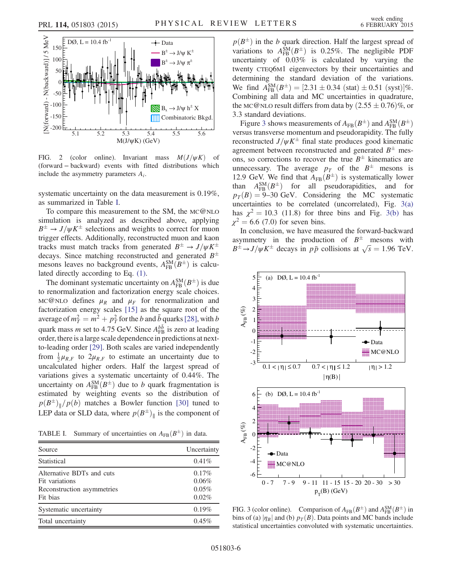<span id="page-5-0"></span>

FIG. 2 (color online). Invariant mass  $M(J/\psi K)$  of (forward − backward) events with fitted distributions which include the asymmetry parameters  $A_i$ .

systematic uncertainty on the data measurement is 0.19%, as summarized in Table [I](#page-5-1).

To compare this measurement to the SM, the MC@NLO simulation is analyzed as described above, applying  $B^{\pm} \rightarrow J/\psi K^{\pm}$  selections and weights to correct for muon trigger effects. Additionally, reconstructed muon and kaon tracks must match tracks from generated  $B^{\pm} \rightarrow J/\psi K^{\pm}$ decays. Since matching reconstructed and generated  $B^{\pm}$ mesons leaves no background events,  $A_{FB}^{SM}(B^{\pm})$  is calculated directly according to Eq. [\(1\)](#page-2-0).

The dominant systematic uncertainty on  $A_{FB}^{SM}(B^{\pm})$  is due to renormalization and factorization energy scale choices. MC@NLO defines  $\mu_R$  and  $\mu_F$  for renormalization and factorization energy scales [\[15\]](#page-6-24) as the square root of the average of  $m_T^2 = m^2 + p_T^2$  for the b and  $\bar{b}$  quarks [\[28\]](#page-7-6), with b quark mass *m* set to 4.75 GeV. Since  $A_{FB}^{b\bar{b}}$  is zero at leading order, there is a large scale dependence in predictions at nextto-leading order [\[29\].](#page-7-7) Both scales are varied independently from  $\frac{1}{2}\mu_{R,F}$  to  $2\mu_{R,F}$  to estimate an uncertainty due to uncalculated higher orders. Half the largest spread of variations gives a systematic uncertainty of 0.44%. The uncertainty on  $A_{FB}^{SM}(B^{\pm})$  due to b quark fragmentation is estimated by weighting events so the distribution of  $p(B^{\pm})$ <sub>l</sub> $/p(b)$  matches a Bowler function [\[30\]](#page-7-8) tuned to LEP data or SLD data, where  $p(B^{\pm})_{\parallel}$  is the component of

<span id="page-5-1"></span>TABLE I. Summary of uncertainties on  $A_{FB}(B^{\pm})$  in data.

| Source                                                                                | Uncertainty                      |
|---------------------------------------------------------------------------------------|----------------------------------|
| Statistical                                                                           | $0.41\%$                         |
| Alternative BDTs and cuts<br>Fit variations<br>Reconstruction asymmetries<br>Fit bias | 0.17%<br>0.06%<br>0.05%<br>0.02% |
| Systematic uncertainty                                                                | 0.19%                            |
| Total uncertainty                                                                     | $0.45\%$                         |

 $p(B^{\pm})$  in the b quark direction. Half the largest spread of variations to  $A_{FB}^{SM}(B^{\pm})$  is 0.25%. The negligible PDF uncertainty of 0.03% is calculated by varying the twenty CTEQ6M1 eigenvectors by their uncertainties and determining the standard deviation of the variations. We find  $A_{\text{FB}}^{\text{SM}}(B^{\pm}) = [2.31 \pm 0.34 \text{ (stat)} \pm 0.51 \text{ (syst)}]\%$ . Combining all data and MC uncertainties in quadrature, the MC@NLO result differs from data by  $(2.55 \pm 0.76)\%$ , or 3.3 standard deviations.

Figure [3](#page-5-2) shows measurements of  $A_{FB}(B^{\pm})$  and  $A_{FB}^{SM}(B^{\pm})$ versus transverse momentum and pseudorapidity. The fully reconstructed  $J/\psi K^{\pm}$  final state produces good kinematic agreement between reconstructed and generated  $B^{\pm}$  mesons, so corrections to recover the true  $B^{\pm}$  kinematics are unnecessary. The average  $p_T$  of the  $B^{\pm}$  mesons is 12.9 GeV. We find that  $A_{FB}(B^{\pm})$  is systematically lower than  $A_{FB}^{SM}(B^{\pm})$  for all pseudorapidities, and for  $p_T(B) = 9{\text -}30 \text{ GeV}$ . Considering the MC systematic uncertainties to be correlated (uncorrelated), Fig.  $3(a)$ has  $\chi^2 = 10.3$  (11.8) for three bins and Fig. [3\(b\)](#page-5-2) has  $\chi^2 = 6.6$  (7.0) for seven bins.

In conclusion, we have measured the forward-backward asymmetry in the production of  $B^{\pm}$  mesons with  $B^{\pm} \rightarrow J/\psi K^{\pm}$  decays in  $p\bar{p}$  collisions at  $\sqrt{s} = 1.96$  TeV.

<span id="page-5-2"></span>

FIG. 3 (color online). Comparison of  $A_{FB}(B^{\pm})$  and  $A_{FB}^{SM}(B^{\pm})$  in bins of (a)  $|\eta_B|$  and (b)  $p_T(B)$ . Data points and MC bands include statistical uncertainties convoluted with systematic uncertainties.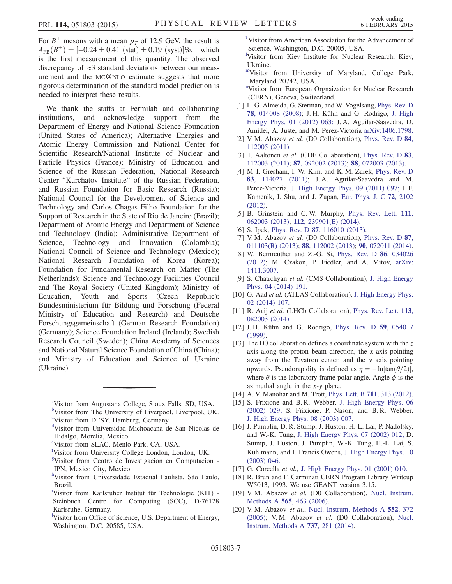For  $B^{\pm}$  mesons with a mean  $p_T$  of 12.9 GeV, the result is  $A_{FB}(B^{\pm}) = [-0.24 \pm 0.41 \text{ (stat)} \pm 0.19 \text{ (syst)}]\%$ , which is the first measurement of this quantity. The observed discrepancy of  $\approx$ 3 standard deviations between our measurement and the MC@NLO estimate suggests that more rigorous determination of the standard model prediction is needed to interpret these results.

We thank the staffs at Fermilab and collaborating institutions, and acknowledge support from the Department of Energy and National Science Foundation (United States of America); Alternative Energies and Atomic Energy Commission and National Center for Scientific Research/National Institute of Nuclear and Particle Physics (France); Ministry of Education and Science of the Russian Federation, National Research Center "Kurchatov Institute" of the Russian Federation, and Russian Foundation for Basic Research (Russia); National Council for the Development of Science and Technology and Carlos Chagas Filho Foundation for the Support of Research in the State of Rio de Janeiro (Brazil); Department of Atomic Energy and Department of Science and Technology (India); Administrative Department of Science, Technology and Innovation (Colombia); National Council of Science and Technology (Mexico); National Research Foundation of Korea (Korea); Foundation for Fundamental Research on Matter (The Netherlands); Science and Technology Facilities Council and The Royal Society (United Kingdom); Ministry of Education, Youth and Sports (Czech Republic); Bundesministerium für Bildung und Forschung (Federal Ministry of Education and Research) and Deutsche Forschungsgemeinschaft (German Research Foundation) (Germany); Science Foundation Ireland (Ireland); Swedish Research Council (Sweden); China Academy of Sciences and National Natural Science Foundation of China (China); and Ministry of Education and Science of Ukraine (Ukraine).

- [f](#page-0-5) Visitor from University College London, London, UK.
- <span id="page-6-12"></span>[g](#page-0-6) Visitor from Centro de Investigacion en Computacion - IPN, Mexico City, Mexico.
- <span id="page-6-9"></span>[h](#page-0-7) Visitor from Universidade Estadual Paulista, São Paulo, Brazil.
- <span id="page-6-11"></span>[i](#page-0-8) Visitor from Karlsruher Institut für Technologie (KIT) - Steinbuch Centre for Computing (SCC), D-76128 Karlsruhe, Germany.
- Visitor from Office of Science, U.S. Department of Energy, Washington, D.C. 20585, USA.

<span id="page-6-3"></span>[k](#page-0-9) Visitor from American Association for the Advancement of Science, Washington, D.C. 20005, USA.

<span id="page-6-1"></span>[l](#page-0-10) Visitor from Kiev Institute for Nuclear Research, Kiev, Ukraine.

<span id="page-6-7"></span>[mV](#page-0-11)isitor from University of Maryland, College Park, Maryland 20742, USA.

<span id="page-6-13"></span><sup>[n](#page-0-12)</sup>Visitor from European Orgnaization for Nuclear Research (CERN), Geneva, Switzerland.

- <span id="page-6-14"></span>[1] L. G. Almeida, G. Sterman, and W. Vogelsang, [Phys. Rev. D](http://dx.doi.org/10.1103/PhysRevD.78.014008) 78[, 014008 \(2008\);](http://dx.doi.org/10.1103/PhysRevD.78.014008) J. H. Kühn and G. Rodrigo, [J. High](http://dx.doi.org/10.1007/JHEP01(2012)063) [Energy Phys. 01 \(2012\) 063;](http://dx.doi.org/10.1007/JHEP01(2012)063) J. A. Aguilar-Saavedra, D. Amidei, A. Juste, and M. Perez-Victoria [arXiv:1406.1798.](http://arXiv.org/abs/1406.1798)
- <span id="page-6-15"></span>[2] V. M. Abazov et al. (D0 Collaboration), [Phys. Rev. D](http://dx.doi.org/10.1103/PhysRevD.84.112005) 84, [112005 \(2011\).](http://dx.doi.org/10.1103/PhysRevD.84.112005)
- [3] T. Aaltonen et al. (CDF Collaboration), [Phys. Rev. D](http://dx.doi.org/10.1103/PhysRevD.83.112003) 83, [112003 \(2011\);](http://dx.doi.org/10.1103/PhysRevD.83.112003) 87[, 092002 \(2013\);](http://dx.doi.org/10.1103/PhysRevD.87.092002) 88[, 072003 \(2013\)](http://dx.doi.org/10.1103/PhysRevD.88.072003).
- <span id="page-6-16"></span>[4] M. I. Gresham, I.-W. Kim, and K. M. Zurek, [Phys. Rev. D](http://dx.doi.org/10.1103/PhysRevD.83.114027) 83[, 114027 \(2011\);](http://dx.doi.org/10.1103/PhysRevD.83.114027) J. A. Aguilar-Saavedra and M. Perez-Victoria, [J. High Energy Phys. 09 \(2011\) 097;](http://dx.doi.org/10.1007/JHEP09(2011)097) J. F. Kamenik, J. Shu, and J. Zupan, [Eur. Phys. J. C](http://dx.doi.org/10.1140/epjc/s10052-012-2102-2) 72, 2102 [\(2012\).](http://dx.doi.org/10.1140/epjc/s10052-012-2102-2)
- <span id="page-6-17"></span>[5] B. Grinstein and C. W. Murphy, [Phys. Rev. Lett.](http://dx.doi.org/10.1103/PhysRevLett.111.062003) 111, [062003 \(2013\);](http://dx.doi.org/10.1103/PhysRevLett.111.062003) 112[, 239901\(E\) \(2014\).](http://dx.doi.org/10.1103/PhysRevLett.112.239901)
- <span id="page-6-18"></span>[6] S. Ipek, Phys. Rev. D **87**[, 116010 \(2013\).](http://dx.doi.org/10.1103/PhysRevD.87.116010)
- [7] V. M. Abazov et al. (D0 Collaboration), [Phys. Rev. D](http://dx.doi.org/10.1103/PhysRevD.87.011103) 87, [011103\(R\) \(2013\);](http://dx.doi.org/10.1103/PhysRevD.87.011103) 88[, 112002 \(2013\);](http://dx.doi.org/10.1103/PhysRevD.88.112002) 90[, 072011 \(2014\).](http://dx.doi.org/10.1103/PhysRevD.90.072011)
- <span id="page-6-19"></span>[8] W. Bernreuther and Z.-G. Si, [Phys. Rev. D](http://dx.doi.org/10.1103/PhysRevD.86.034026) 86, 034026 [\(2012\);](http://dx.doi.org/10.1103/PhysRevD.86.034026) M. Czakon, P. Fiedler, and A. Mitov, [arXiv:](http://arXiv.org/abs/1411.3007) [1411.3007.](http://arXiv.org/abs/1411.3007)
- <span id="page-6-20"></span>[9] S. Chatrchyan et al. (CMS Collaboration), [J. High Energy](http://dx.doi.org/10.1007/JHEP04(2014)191) [Phys. 04 \(2014\) 191.](http://dx.doi.org/10.1007/JHEP04(2014)191)
- [10] G. Aad et al. (ATLAS Collaboration), [J. High Energy Phys.](http://dx.doi.org/10.1007/JHEP02(2014)107) [02 \(2014\) 107.](http://dx.doi.org/10.1007/JHEP02(2014)107)
- <span id="page-6-21"></span>[11] R. Aaij et al. (LHCb Collaboration), [Phys. Rev. Lett.](http://dx.doi.org/10.1103/PhysRevLett.113.082003) 113, [082003 \(2014\).](http://dx.doi.org/10.1103/PhysRevLett.113.082003)
- <span id="page-6-22"></span>[12] J. H. Kühn and G. Rodrigo, [Phys. Rev. D](http://dx.doi.org/10.1103/PhysRevD.59.054017) 59, 054017 [\(1999\).](http://dx.doi.org/10.1103/PhysRevD.59.054017)
- <span id="page-6-23"></span>[13] The D0 collaboration defines a coordinate system with the z axis along the proton beam direction, the  $x$  axis pointing away from the Tevatron center, and the  $\nu$  axis pointing upwards. Pseudorapidity is defined as  $\eta = -\ln[\tan(\theta/2)]$ , where  $\theta$  is the laboratory frame polar angle. Angle  $\phi$  is the azimuthal angle in the x-y plane.
- <span id="page-6-24"></span>[14] A. V. Manohar and M. Trott, [Phys. Lett. B](http://dx.doi.org/10.1016/j.physletb.2012.04.013) **711**, 313 (2012).
- [15] S. Frixione and B. R. Webber, [J. High Energy Phys. 06](http://dx.doi.org/10.1088/1126-6708/2002/06/029) [\(2002\) 029;](http://dx.doi.org/10.1088/1126-6708/2002/06/029) S. Frixione, P. Nason, and B. R. Webber, [J. High Energy Phys. 08 \(2003\) 007.](http://dx.doi.org/10.1088/1126-6708/2003/08/007)
- <span id="page-6-25"></span>[16] J. Pumplin, D. R. Stump, J. Huston, H.-L. Lai, P. Nadolsky, and W.-K. Tung, [J. High Energy Phys. 07 \(2002\) 012;](http://dx.doi.org/10.1088/1126-6708/2002/07/012) D. Stump, J. Huston, J. Pumplin, W.-K. Tung, H.-L. Lai, S. Kuhlmann, and J. Francis Owens, [J. High Energy Phys. 10](http://dx.doi.org/10.1088/1126-6708/2003/10/046) [\(2003\) 046.](http://dx.doi.org/10.1088/1126-6708/2003/10/046)
- <span id="page-6-27"></span><span id="page-6-26"></span>[17] G. Corcella *et al.*, [J. High Energy Phys. 01 \(2001\) 010.](http://dx.doi.org/10.1088/1126-6708/2001/01/010)
- <span id="page-6-28"></span>[18] R. Brun and F. Carminati CERN Program Library Writeup W5013, 1993. We use GEANT version 3.15.
- <span id="page-6-29"></span>[19] V.M. Abazov et al. (D0 Collaboration), [Nucl. Instrum.](http://dx.doi.org/10.1016/j.nima.2006.05.248) Methods A 565[, 463 \(2006\)](http://dx.doi.org/10.1016/j.nima.2006.05.248).
- [20] V. M. Abazov et al., [Nucl. Instrum. Methods A](http://dx.doi.org/10.1016/j.nima.2005.07.008) 552, 372 [\(2005\);](http://dx.doi.org/10.1016/j.nima.2005.07.008) V. M. Abazov et al. (D0 Collaboration), [Nucl.](http://dx.doi.org/10.1016/j.nima.2013.11.050) [Instrum. Methods A](http://dx.doi.org/10.1016/j.nima.2013.11.050) 737, 281 (2014).

<span id="page-6-4"></span><span id="page-6-2"></span><span id="page-6-0"></span>[a](#page-0-0) Visitor from Augustana College, Sioux Falls, SD, USA.

<span id="page-6-5"></span>[b](#page-0-1) Visitor from The University of Liverpool, Liverpool, UK. [c](#page-0-2) Visitor from DESY, Hamburg, Germany.

<span id="page-6-10"></span>[d](#page-0-3) Visitor from Universidad Michoacana de San Nicolas de

<span id="page-6-6"></span>Hidalgo, Morelia, Mexico.

<span id="page-6-8"></span>[e](#page-0-4) Visitor from SLAC, Menlo Park, CA, USA.